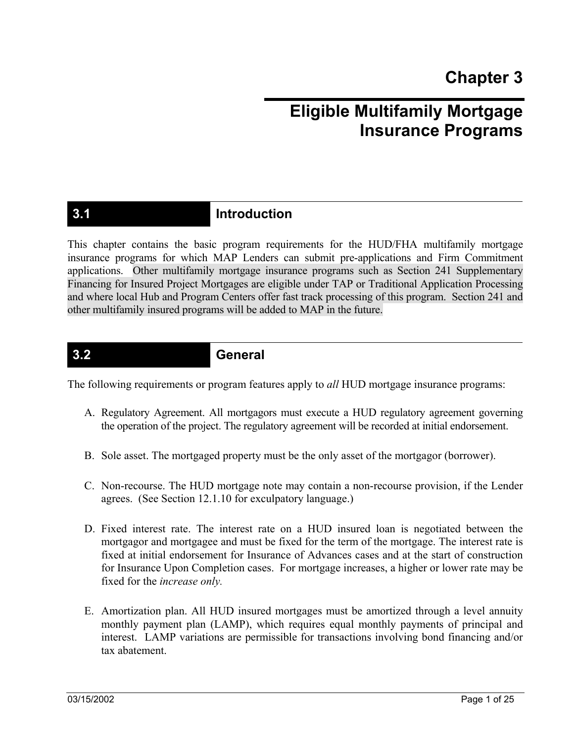# **Eligible Multifamily Mortgage Insurance Programs**

# **3.1 Introduction**

This chapter contains the basic program requirements for the HUD/FHA multifamily mortgage insurance programs for which MAP Lenders can submit pre-applications and Firm Commitment applications. Other multifamily mortgage insurance programs such as Section 241 Supplementary Financing for Insured Project Mortgages are eligible under TAP or Traditional Application Processing and where local Hub and Program Centers offer fast track processing of this program. Section 241 and other multifamily insured programs will be added to MAP in the future.

### **3.2 General**

The following requirements or program features apply to *all* HUD mortgage insurance programs:

- A. Regulatory Agreement. All mortgagors must execute a HUD regulatory agreement governing the operation of the project. The regulatory agreement will be recorded at initial endorsement.
- B. Sole asset. The mortgaged property must be the only asset of the mortgagor (borrower).
- C. Non-recourse. The HUD mortgage note may contain a non-recourse provision, if the Lender agrees. (See Section 12.1.10 for exculpatory language.)
- D. Fixed interest rate. The interest rate on a HUD insured loan is negotiated between the mortgagor and mortgagee and must be fixed for the term of the mortgage. The interest rate is fixed at initial endorsement for Insurance of Advances cases and at the start of construction for Insurance Upon Completion cases. For mortgage increases, a higher or lower rate may be fixed for the *increase only.*
- E. Amortization plan. All HUD insured mortgages must be amortized through a level annuity monthly payment plan (LAMP), which requires equal monthly payments of principal and interest. LAMP variations are permissible for transactions involving bond financing and/or tax abatement.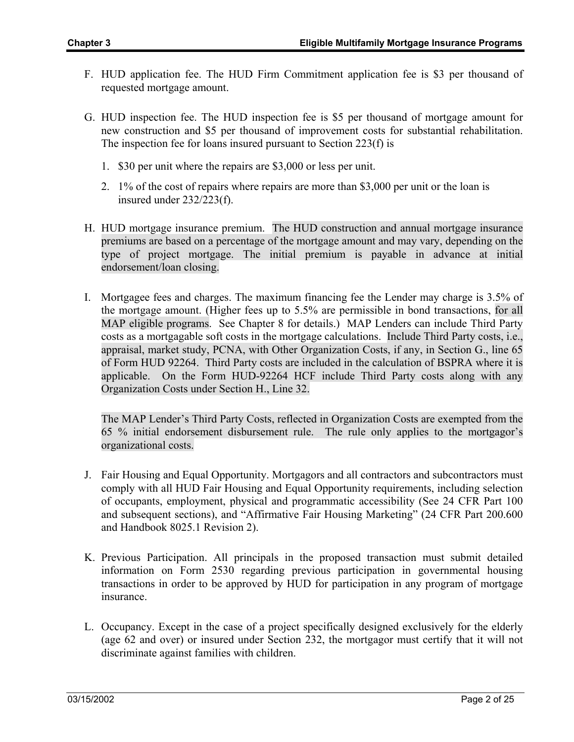- F. HUD application fee. The HUD Firm Commitment application fee is \$3 per thousand of requested mortgage amount.
- G. HUD inspection fee. The HUD inspection fee is \$5 per thousand of mortgage amount for new construction and \$5 per thousand of improvement costs for substantial rehabilitation. The inspection fee for loans insured pursuant to Section 223(f) is
	- 1. \$30 per unit where the repairs are \$3,000 or less per unit.
	- 2. 1% of the cost of repairs where repairs are more than \$3,000 per unit or the loan is insured under 232/223(f).
- H. HUD mortgage insurance premium. The HUD construction and annual mortgage insurance premiums are based on a percentage of the mortgage amount and may vary, depending on the type of project mortgage. The initial premium is payable in advance at initial endorsement/loan closing.
- I. Mortgagee fees and charges. The maximum financing fee the Lender may charge is 3.5% of the mortgage amount. (Higher fees up to 5.5% are permissible in bond transactions, for all MAP eligible programs. See Chapter 8 for details.) MAP Lenders can include Third Party costs as a mortgagable soft costs in the mortgage calculations. Include Third Party costs, i.e., appraisal, market study, PCNA, with Other Organization Costs, if any, in Section G., line 65 of Form HUD 92264. Third Party costs are included in the calculation of BSPRA where it is applicable. On the Form HUD-92264 HCF include Third Party costs along with any Organization Costs under Section H., Line 32.

The MAP Lender's Third Party Costs, reflected in Organization Costs are exempted from the 65 % initial endorsement disbursement rule. The rule only applies to the mortgagor's organizational costs.

- J. Fair Housing and Equal Opportunity. Mortgagors and all contractors and subcontractors must comply with all HUD Fair Housing and Equal Opportunity requirements, including selection of occupants, employment, physical and programmatic accessibility (See 24 CFR Part 100 and subsequent sections), and "Affirmative Fair Housing Marketing" (24 CFR Part 200.600 and Handbook 8025.1 Revision 2).
- K. Previous Participation. All principals in the proposed transaction must submit detailed information on Form 2530 regarding previous participation in governmental housing transactions in order to be approved by HUD for participation in any program of mortgage insurance.
- L. Occupancy. Except in the case of a project specifically designed exclusively for the elderly (age 62 and over) or insured under Section 232, the mortgagor must certify that it will not discriminate against families with children.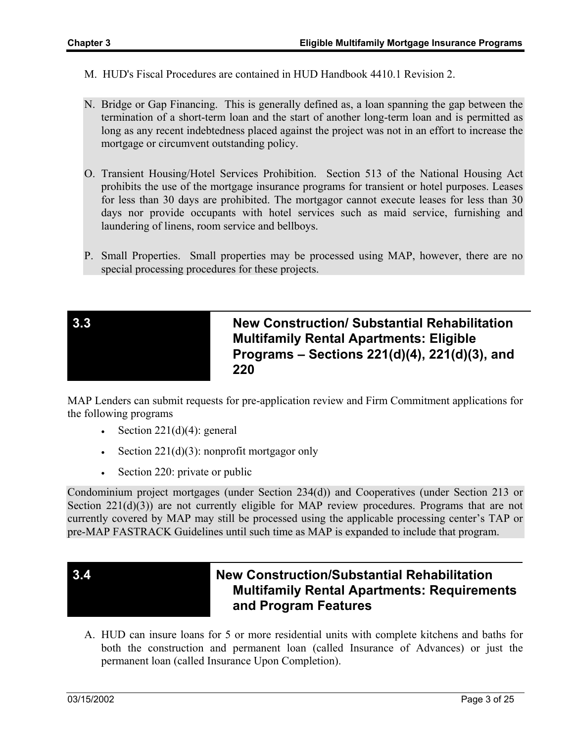- M. HUD's Fiscal Procedures are contained in HUD Handbook 4410.1 Revision 2.
- N. Bridge or Gap Financing. This is generally defined as, a loan spanning the gap between the termination of a short-term loan and the start of another long-term loan and is permitted as long as any recent indebtedness placed against the project was not in an effort to increase the mortgage or circumvent outstanding policy.
- O. Transient Housing/Hotel Services Prohibition. Section 513 of the National Housing Act prohibits the use of the mortgage insurance programs for transient or hotel purposes. Leases for less than 30 days are prohibited. The mortgagor cannot execute leases for less than 30 days nor provide occupants with hotel services such as maid service, furnishing and laundering of linens, room service and bellboys.
- P. Small Properties. Small properties may be processed using MAP, however, there are no special processing procedures for these projects.



**3.3 New Construction/ Substantial Rehabilitation Multifamily Rental Apartments: Eligible Programs – Sections 221(d)(4), 221(d)(3), and 220** 

MAP Lenders can submit requests for pre-application review and Firm Commitment applications for the following programs

- Section  $221(d)(4)$ : general
- Section  $221(d)(3)$ : nonprofit mortgagor only
- Section 220: private or public

Condominium project mortgages (under Section 234(d)) and Cooperatives (under Section 213 or Section 221(d)(3)) are not currently eligible for MAP review procedures. Programs that are not currently covered by MAP may still be processed using the applicable processing center's TAP or pre-MAP FASTRACK Guidelines until such time as MAP is expanded to include that program.



## **3.4 New Construction/Substantial Rehabilitation Multifamily Rental Apartments: Requirements and Program Features**

A. HUD can insure loans for 5 or more residential units with complete kitchens and baths for both the construction and permanent loan (called Insurance of Advances) or just the permanent loan (called Insurance Upon Completion).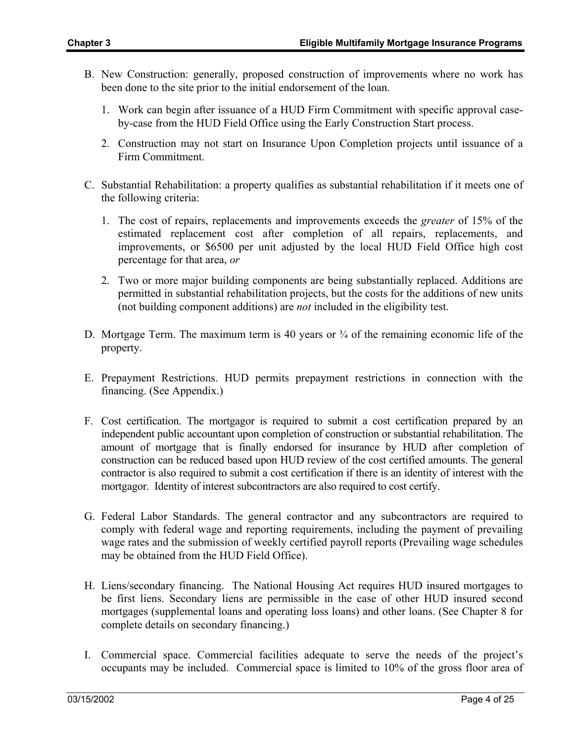- B. New Construction: generally, proposed construction of improvements where no work has been done to the site prior to the initial endorsement of the loan.
	- 1. Work can begin after issuance of a HUD Firm Commitment with specific approval caseby-case from the HUD Field Office using the Early Construction Start process.
	- 2. Construction may not start on Insurance Upon Completion projects until issuance of a Firm Commitment.
- C. Substantial Rehabilitation: a property qualifies as substantial rehabilitation if it meets one of the following criteria:
	- 1. The cost of repairs, replacements and improvements exceeds the *greater* of 15% of the estimated replacement cost after completion of all repairs, replacements, and improvements, or \$6500 per unit adjusted by the local HUD Field Office high cost percentage for that area, *or*
	- 2. Two or more major building components are being substantially replaced. Additions are permitted in substantial rehabilitation projects, but the costs for the additions of new units (not building component additions) are *not* included in the eligibility test.
- D. Mortgage Term. The maximum term is 40 years or  $\frac{3}{4}$  of the remaining economic life of the property.
- E. Prepayment Restrictions. HUD permits prepayment restrictions in connection with the financing. (See Appendix.)
- F. Cost certification. The mortgagor is required to submit a cost certification prepared by an independent public accountant upon completion of construction or substantial rehabilitation. The amount of mortgage that is finally endorsed for insurance by HUD after completion of construction can be reduced based upon HUD review of the cost certified amounts. The general contractor is also required to submit a cost certification if there is an identity of interest with the mortgagor. Identity of interest subcontractors are also required to cost certify.
- G. Federal Labor Standards. The general contractor and any subcontractors are required to comply with federal wage and reporting requirements, including the payment of prevailing wage rates and the submission of weekly certified payroll reports (Prevailing wage schedules may be obtained from the HUD Field Office).
- H. Liens/secondary financing. The National Housing Act requires HUD insured mortgages to be first liens. Secondary liens are permissible in the case of other HUD insured second mortgages (supplemental loans and operating loss loans) and other loans. (See Chapter 8 for complete details on secondary financing.)
- I. Commercial space. Commercial facilities adequate to serve the needs of the project's occupants may be included. Commercial space is limited to 10% of the gross floor area of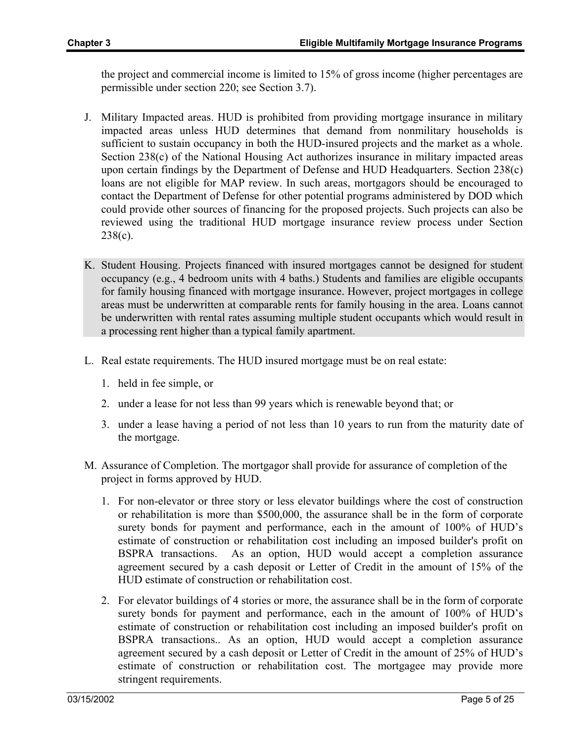the project and commercial income is limited to 15% of gross income (higher percentages are permissible under section 220; see Section 3.7).

- J. Military Impacted areas. HUD is prohibited from providing mortgage insurance in military impacted areas unless HUD determines that demand from nonmilitary households is sufficient to sustain occupancy in both the HUD-insured projects and the market as a whole. Section 238(c) of the National Housing Act authorizes insurance in military impacted areas upon certain findings by the Department of Defense and HUD Headquarters. Section 238(c) loans are not eligible for MAP review. In such areas, mortgagors should be encouraged to contact the Department of Defense for other potential programs administered by DOD which could provide other sources of financing for the proposed projects. Such projects can also be reviewed using the traditional HUD mortgage insurance review process under Section 238(c).
- K. Student Housing. Projects financed with insured mortgages cannot be designed for student occupancy (e.g., 4 bedroom units with 4 baths.) Students and families are eligible occupants for family housing financed with mortgage insurance. However, project mortgages in college areas must be underwritten at comparable rents for family housing in the area. Loans cannot be underwritten with rental rates assuming multiple student occupants which would result in a processing rent higher than a typical family apartment.
- L. Real estate requirements. The HUD insured mortgage must be on real estate:
	- 1. held in fee simple, or
	- 2. under a lease for not less than 99 years which is renewable beyond that; or
	- 3. under a lease having a period of not less than 10 years to run from the maturity date of the mortgage.
- M. Assurance of Completion. The mortgagor shall provide for assurance of completion of the project in forms approved by HUD.
	- 1. For non-elevator or three story or less elevator buildings where the cost of construction or rehabilitation is more than \$500,000, the assurance shall be in the form of corporate surety bonds for payment and performance, each in the amount of 100% of HUD's estimate of construction or rehabilitation cost including an imposed builder's profit on BSPRA transactions. As an option, HUD would accept a completion assurance agreement secured by a cash deposit or Letter of Credit in the amount of 15% of the HUD estimate of construction or rehabilitation cost.
	- 2. For elevator buildings of 4 stories or more, the assurance shall be in the form of corporate surety bonds for payment and performance, each in the amount of 100% of HUD's estimate of construction or rehabilitation cost including an imposed builder's profit on BSPRA transactions.. As an option, HUD would accept a completion assurance agreement secured by a cash deposit or Letter of Credit in the amount of 25% of HUD's estimate of construction or rehabilitation cost. The mortgagee may provide more stringent requirements.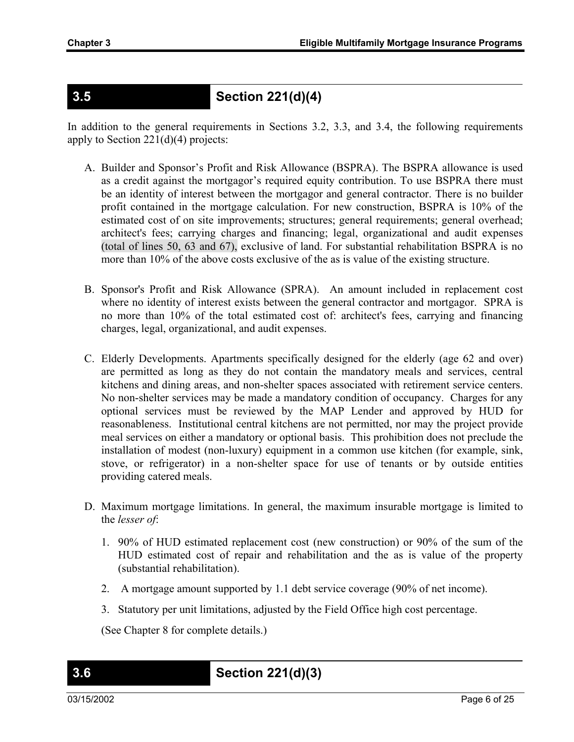# **3.5 Section 221(d)(4)**

In addition to the general requirements in Sections 3.2, 3.3, and 3.4, the following requirements apply to Section 221(d)(4) projects:

- A. Builder and Sponsor's Profit and Risk Allowance (BSPRA). The BSPRA allowance is used as a credit against the mortgagor's required equity contribution. To use BSPRA there must be an identity of interest between the mortgagor and general contractor. There is no builder profit contained in the mortgage calculation. For new construction, BSPRA is 10% of the estimated cost of on site improvements; structures; general requirements; general overhead; architect's fees; carrying charges and financing; legal, organizational and audit expenses (total of lines 50, 63 and 67), exclusive of land. For substantial rehabilitation BSPRA is no more than 10% of the above costs exclusive of the as is value of the existing structure.
- B. Sponsor's Profit and Risk Allowance (SPRA). An amount included in replacement cost where no identity of interest exists between the general contractor and mortgagor. SPRA is no more than 10% of the total estimated cost of: architect's fees, carrying and financing charges, legal, organizational, and audit expenses.
- C. Elderly Developments. Apartments specifically designed for the elderly (age 62 and over) are permitted as long as they do not contain the mandatory meals and services, central kitchens and dining areas, and non-shelter spaces associated with retirement service centers. No non-shelter services may be made a mandatory condition of occupancy. Charges for any optional services must be reviewed by the MAP Lender and approved by HUD for reasonableness. Institutional central kitchens are not permitted, nor may the project provide meal services on either a mandatory or optional basis. This prohibition does not preclude the installation of modest (non-luxury) equipment in a common use kitchen (for example, sink, stove, or refrigerator) in a non-shelter space for use of tenants or by outside entities providing catered meals.
- D. Maximum mortgage limitations. In general, the maximum insurable mortgage is limited to the *lesser of*:
	- 1. 90% of HUD estimated replacement cost (new construction) or 90% of the sum of the HUD estimated cost of repair and rehabilitation and the as is value of the property (substantial rehabilitation).
	- 2. A mortgage amount supported by 1.1 debt service coverage (90% of net income).
	- 3. Statutory per unit limitations, adjusted by the Field Office high cost percentage.

(See Chapter 8 for complete details.)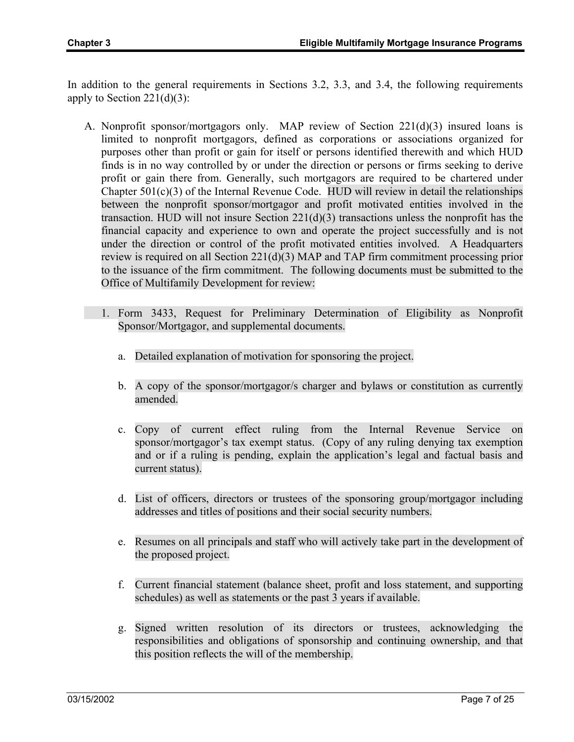In addition to the general requirements in Sections 3.2, 3.3, and 3.4, the following requirements apply to Section  $221(d)(3)$ :

- A. Nonprofit sponsor/mortgagors only. MAP review of Section  $221(d)(3)$  insured loans is limited to nonprofit mortgagors, defined as corporations or associations organized for purposes other than profit or gain for itself or persons identified therewith and which HUD finds is in no way controlled by or under the direction or persons or firms seeking to derive profit or gain there from. Generally, such mortgagors are required to be chartered under Chapter  $501(c)(3)$  of the Internal Revenue Code. HUD will review in detail the relationships between the nonprofit sponsor/mortgagor and profit motivated entities involved in the transaction. HUD will not insure Section  $221(d)(3)$  transactions unless the nonprofit has the financial capacity and experience to own and operate the project successfully and is not under the direction or control of the profit motivated entities involved. A Headquarters review is required on all Section 221(d)(3) MAP and TAP firm commitment processing prior to the issuance of the firm commitment. The following documents must be submitted to the Office of Multifamily Development for review:
	- 1. Form 3433, Request for Preliminary Determination of Eligibility as Nonprofit Sponsor/Mortgagor, and supplemental documents.
		- a. Detailed explanation of motivation for sponsoring the project.
		- b. A copy of the sponsor/mortgagor/s charger and bylaws or constitution as currently amended.
		- c. Copy of current effect ruling from the Internal Revenue Service on sponsor/mortgagor's tax exempt status. (Copy of any ruling denying tax exemption and or if a ruling is pending, explain the application's legal and factual basis and current status).
		- d. List of officers, directors or trustees of the sponsoring group/mortgagor including addresses and titles of positions and their social security numbers.
		- e. Resumes on all principals and staff who will actively take part in the development of the proposed project.
		- f. Current financial statement (balance sheet, profit and loss statement, and supporting schedules) as well as statements or the past 3 years if available.
		- g. Signed written resolution of its directors or trustees, acknowledging the responsibilities and obligations of sponsorship and continuing ownership, and that this position reflects the will of the membership.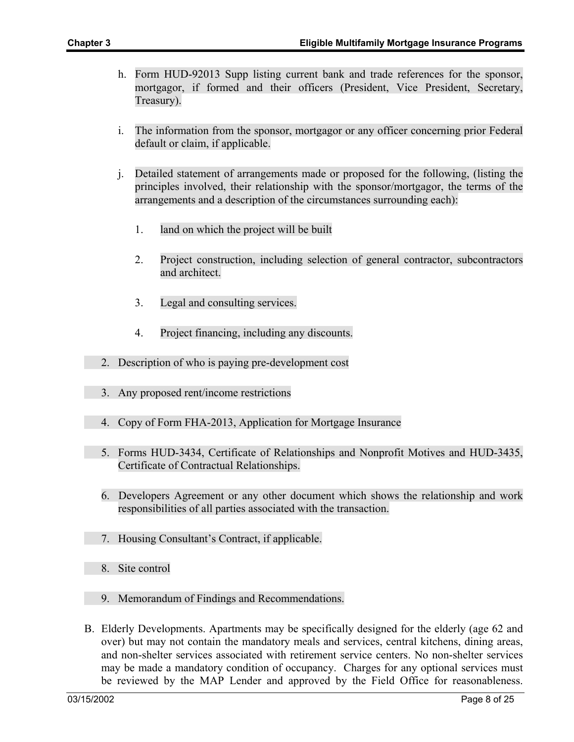- h. Form HUD-92013 Supp listing current bank and trade references for the sponsor, mortgagor, if formed and their officers (President, Vice President, Secretary, Treasury).
- i. The information from the sponsor, mortgagor or any officer concerning prior Federal default or claim, if applicable.
- j. Detailed statement of arrangements made or proposed for the following, (listing the principles involved, their relationship with the sponsor/mortgagor, the terms of the arrangements and a description of the circumstances surrounding each):
	- 1. land on which the project will be built
	- 2. Project construction, including selection of general contractor, subcontractors and architect.
	- 3. Legal and consulting services.
	- 4. Project financing, including any discounts.
- 2. Description of who is paying pre-development cost
- 3. Any proposed rent/income restrictions
- 4. Copy of Form FHA-2013, Application for Mortgage Insurance
- 5. Forms HUD-3434, Certificate of Relationships and Nonprofit Motives and HUD-3435, Certificate of Contractual Relationships.
- 6. Developers Agreement or any other document which shows the relationship and work responsibilities of all parties associated with the transaction.
- 7. Housing Consultant's Contract, if applicable.
- 8. Site control
- 9. Memorandum of Findings and Recommendations.
- B. Elderly Developments. Apartments may be specifically designed for the elderly (age 62 and over) but may not contain the mandatory meals and services, central kitchens, dining areas, and non-shelter services associated with retirement service centers. No non-shelter services may be made a mandatory condition of occupancy. Charges for any optional services must be reviewed by the MAP Lender and approved by the Field Office for reasonableness.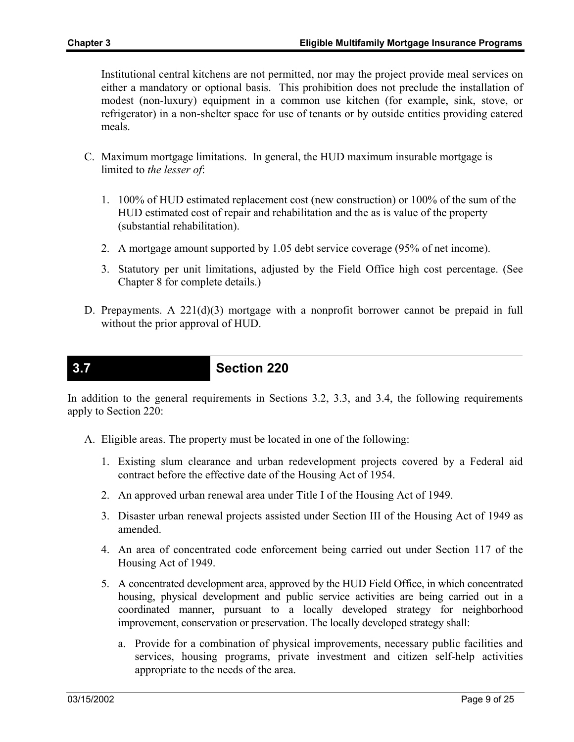Institutional central kitchens are not permitted, nor may the project provide meal services on either a mandatory or optional basis. This prohibition does not preclude the installation of modest (non-luxury) equipment in a common use kitchen (for example, sink, stove, or refrigerator) in a non-shelter space for use of tenants or by outside entities providing catered meals.

- C. Maximum mortgage limitations. In general, the HUD maximum insurable mortgage is limited to *the lesser of*:
	- 1. 100% of HUD estimated replacement cost (new construction) or 100% of the sum of the HUD estimated cost of repair and rehabilitation and the as is value of the property (substantial rehabilitation).
	- 2. A mortgage amount supported by 1.05 debt service coverage (95% of net income).
	- 3. Statutory per unit limitations, adjusted by the Field Office high cost percentage. (See Chapter 8 for complete details.)
- D. Prepayments. A  $221(d)(3)$  mortgage with a nonprofit borrower cannot be prepaid in full without the prior approval of HUD.

### **3.7 Section 220**

In addition to the general requirements in Sections 3.2, 3.3, and 3.4, the following requirements apply to Section 220:

- A. Eligible areas. The property must be located in one of the following:
	- 1. Existing slum clearance and urban redevelopment projects covered by a Federal aid contract before the effective date of the Housing Act of 1954.
	- 2. An approved urban renewal area under Title I of the Housing Act of 1949.
	- 3. Disaster urban renewal projects assisted under Section III of the Housing Act of 1949 as amended.
	- 4. An area of concentrated code enforcement being carried out under Section 117 of the Housing Act of 1949.
	- 5. A concentrated development area, approved by the HUD Field Office, in which concentrated housing, physical development and public service activities are being carried out in a coordinated manner, pursuant to a locally developed strategy for neighborhood improvement, conservation or preservation. The locally developed strategy shall:
		- a. Provide for a combination of physical improvements, necessary public facilities and services, housing programs, private investment and citizen self-help activities appropriate to the needs of the area.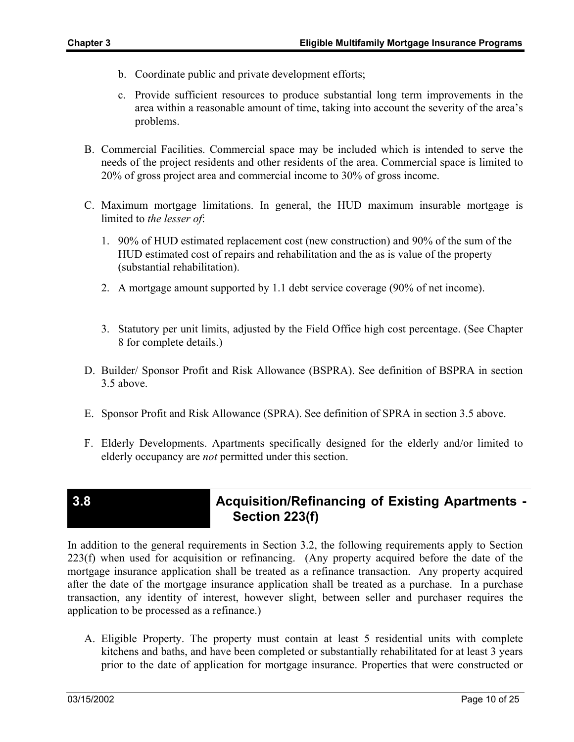- b. Coordinate public and private development efforts;
- c. Provide sufficient resources to produce substantial long term improvements in the area within a reasonable amount of time, taking into account the severity of the area's problems.
- B. Commercial Facilities. Commercial space may be included which is intended to serve the needs of the project residents and other residents of the area. Commercial space is limited to 20% of gross project area and commercial income to 30% of gross income.
- C. Maximum mortgage limitations. In general, the HUD maximum insurable mortgage is limited to *the lesser of*:
	- 1. 90% of HUD estimated replacement cost (new construction) and 90% of the sum of the HUD estimated cost of repairs and rehabilitation and the as is value of the property (substantial rehabilitation).
	- 2. A mortgage amount supported by 1.1 debt service coverage (90% of net income).
	- 3. Statutory per unit limits, adjusted by the Field Office high cost percentage. (See Chapter 8 for complete details.)
- D. Builder/ Sponsor Profit and Risk Allowance (BSPRA). See definition of BSPRA in section 3.5 above.
- E. Sponsor Profit and Risk Allowance (SPRA). See definition of SPRA in section 3.5 above.
- F. Elderly Developments. Apartments specifically designed for the elderly and/or limited to elderly occupancy are *not* permitted under this section.

### **3.8 Acquisition/Refinancing of Existing Apartments - Section 223(f)**

In addition to the general requirements in Section 3.2, the following requirements apply to Section 223(f) when used for acquisition or refinancing. (Any property acquired before the date of the mortgage insurance application shall be treated as a refinance transaction. Any property acquired after the date of the mortgage insurance application shall be treated as a purchase. In a purchase transaction, any identity of interest, however slight, between seller and purchaser requires the application to be processed as a refinance.)

A. Eligible Property. The property must contain at least 5 residential units with complete kitchens and baths, and have been completed or substantially rehabilitated for at least 3 years prior to the date of application for mortgage insurance. Properties that were constructed or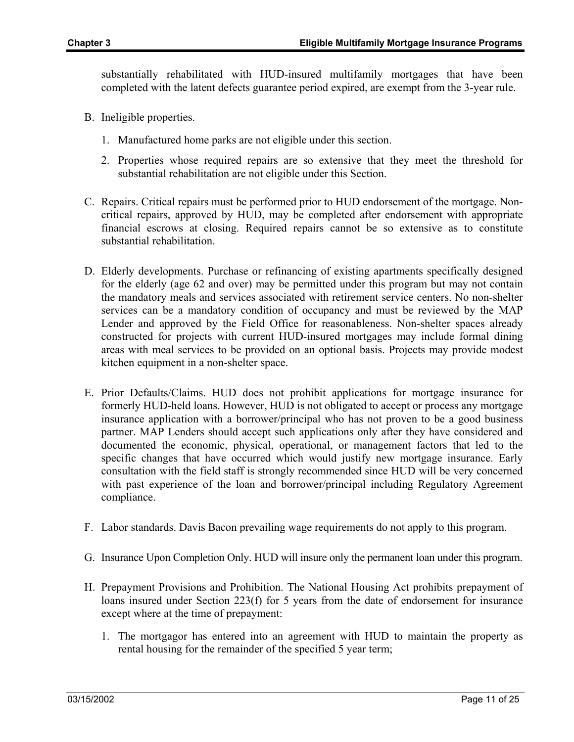substantially rehabilitated with HUD-insured multifamily mortgages that have been completed with the latent defects guarantee period expired, are exempt from the 3-year rule.

- B. Ineligible properties.
	- 1. Manufactured home parks are not eligible under this section.
	- 2. Properties whose required repairs are so extensive that they meet the threshold for substantial rehabilitation are not eligible under this Section.
- C. Repairs. Critical repairs must be performed prior to HUD endorsement of the mortgage. Noncritical repairs, approved by HUD, may be completed after endorsement with appropriate financial escrows at closing. Required repairs cannot be so extensive as to constitute substantial rehabilitation.
- D. Elderly developments. Purchase or refinancing of existing apartments specifically designed for the elderly (age 62 and over) may be permitted under this program but may not contain the mandatory meals and services associated with retirement service centers. No non-shelter services can be a mandatory condition of occupancy and must be reviewed by the MAP Lender and approved by the Field Office for reasonableness. Non-shelter spaces already constructed for projects with current HUD-insured mortgages may include formal dining areas with meal services to be provided on an optional basis. Projects may provide modest kitchen equipment in a non-shelter space.
- E. Prior Defaults/Claims. HUD does not prohibit applications for mortgage insurance for formerly HUD-held loans. However, HUD is not obligated to accept or process any mortgage insurance application with a borrower/principal who has not proven to be a good business partner. MAP Lenders should accept such applications only after they have considered and documented the economic, physical, operational, or management factors that led to the specific changes that have occurred which would justify new mortgage insurance. Early consultation with the field staff is strongly recommended since HUD will be very concerned with past experience of the loan and borrower/principal including Regulatory Agreement compliance.
- F. Labor standards. Davis Bacon prevailing wage requirements do not apply to this program.
- G. Insurance Upon Completion Only. HUD will insure only the permanent loan under this program.
- H. Prepayment Provisions and Prohibition. The National Housing Act prohibits prepayment of loans insured under Section 223(f) for 5 years from the date of endorsement for insurance except where at the time of prepayment:
	- 1. The mortgagor has entered into an agreement with HUD to maintain the property as rental housing for the remainder of the specified 5 year term;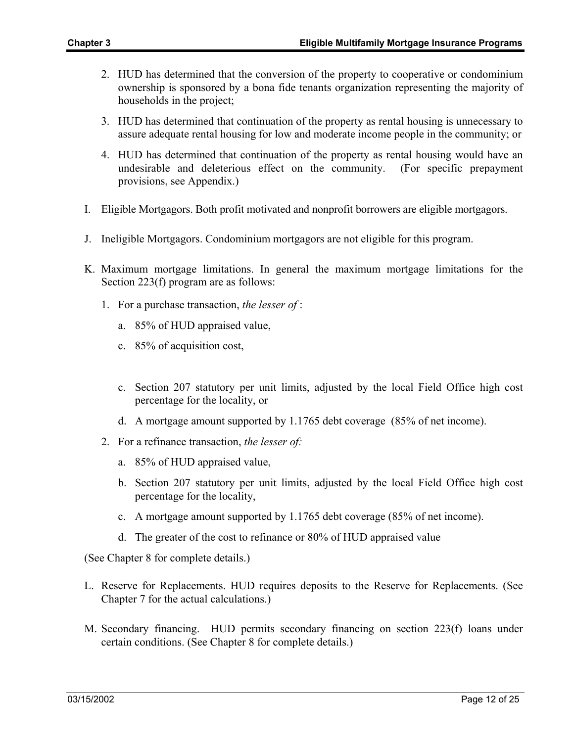- 2. HUD has determined that the conversion of the property to cooperative or condominium ownership is sponsored by a bona fide tenants organization representing the majority of households in the project;
- 3. HUD has determined that continuation of the property as rental housing is unnecessary to assure adequate rental housing for low and moderate income people in the community; or
- 4. HUD has determined that continuation of the property as rental housing would have an undesirable and deleterious effect on the community. (For specific prepayment provisions, see Appendix.)
- I. Eligible Mortgagors. Both profit motivated and nonprofit borrowers are eligible mortgagors.
- J. Ineligible Mortgagors. Condominium mortgagors are not eligible for this program.
- K. Maximum mortgage limitations. In general the maximum mortgage limitations for the Section 223(f) program are as follows:
	- 1. For a purchase transaction, *the lesser of* :
		- a. 85% of HUD appraised value,
		- c. 85% of acquisition cost,
		- c. Section 207 statutory per unit limits, adjusted by the local Field Office high cost percentage for the locality, or
		- d. A mortgage amount supported by 1.1765 debt coverage (85% of net income).
	- 2. For a refinance transaction, *the lesser of:*
		- a. 85% of HUD appraised value,
		- b. Section 207 statutory per unit limits, adjusted by the local Field Office high cost percentage for the locality,
		- c. A mortgage amount supported by 1.1765 debt coverage (85% of net income).
		- d. The greater of the cost to refinance or 80% of HUD appraised value

(See Chapter 8 for complete details.)

- L. Reserve for Replacements. HUD requires deposits to the Reserve for Replacements. (See Chapter 7 for the actual calculations.)
- M. Secondary financing. HUD permits secondary financing on section 223(f) loans under certain conditions. (See Chapter 8 for complete details.)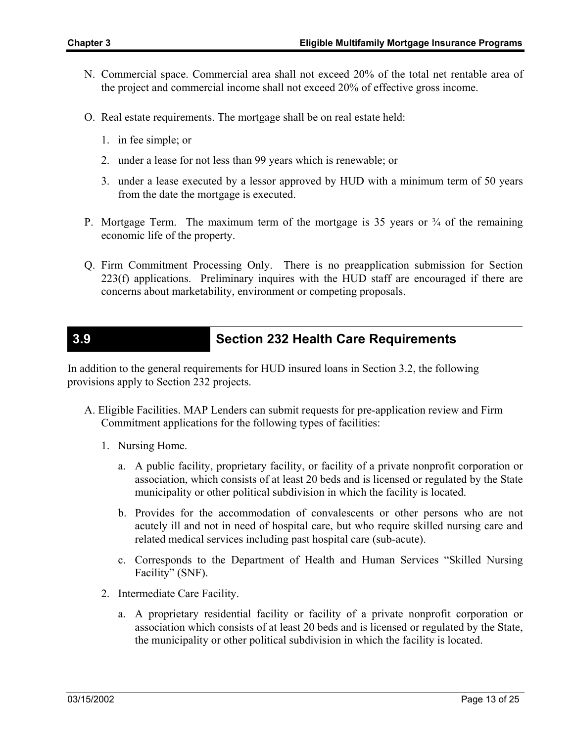- N. Commercial space. Commercial area shall not exceed 20% of the total net rentable area of the project and commercial income shall not exceed 20% of effective gross income.
- O. Real estate requirements. The mortgage shall be on real estate held:
	- 1. in fee simple; or
	- 2. under a lease for not less than 99 years which is renewable; or
	- 3. under a lease executed by a lessor approved by HUD with a minimum term of 50 years from the date the mortgage is executed.
- P. Mortgage Term. The maximum term of the mortgage is 35 years or  $\frac{3}{4}$  of the remaining economic life of the property.
- Q. Firm Commitment Processing Only. There is no preapplication submission for Section 223(f) applications. Preliminary inquires with the HUD staff are encouraged if there are concerns about marketability, environment or competing proposals.

## **3.9 Section 232 Health Care Requirements**

In addition to the general requirements for HUD insured loans in Section 3.2, the following provisions apply to Section 232 projects.

- A. Eligible Facilities. MAP Lenders can submit requests for pre-application review and Firm Commitment applications for the following types of facilities:
	- 1. Nursing Home.
		- a. A public facility, proprietary facility, or facility of a private nonprofit corporation or association, which consists of at least 20 beds and is licensed or regulated by the State municipality or other political subdivision in which the facility is located.
		- b. Provides for the accommodation of convalescents or other persons who are not acutely ill and not in need of hospital care, but who require skilled nursing care and related medical services including past hospital care (sub-acute).
		- c. Corresponds to the Department of Health and Human Services "Skilled Nursing Facility" (SNF).
	- 2. Intermediate Care Facility.
		- a. A proprietary residential facility or facility of a private nonprofit corporation or association which consists of at least 20 beds and is licensed or regulated by the State, the municipality or other political subdivision in which the facility is located.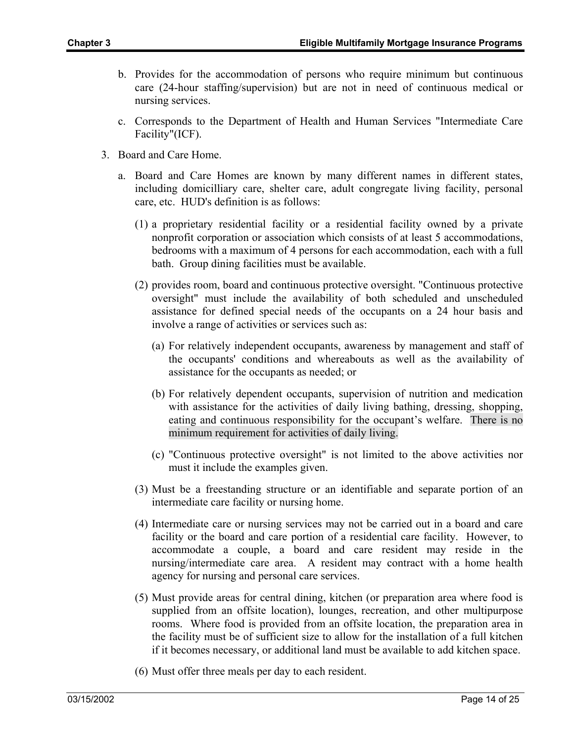- b. Provides for the accommodation of persons who require minimum but continuous care (24-hour staffing/supervision) but are not in need of continuous medical or nursing services.
- c. Corresponds to the Department of Health and Human Services "Intermediate Care Facility"(ICF).
- 3. Board and Care Home.
	- a. Board and Care Homes are known by many different names in different states, including domicilliary care, shelter care, adult congregate living facility, personal care, etc. HUD's definition is as follows:
		- (1) a proprietary residential facility or a residential facility owned by a private nonprofit corporation or association which consists of at least 5 accommodations, bedrooms with a maximum of 4 persons for each accommodation, each with a full bath. Group dining facilities must be available.
		- (2) provides room, board and continuous protective oversight. "Continuous protective oversight" must include the availability of both scheduled and unscheduled assistance for defined special needs of the occupants on a 24 hour basis and involve a range of activities or services such as:
			- (a) For relatively independent occupants, awareness by management and staff of the occupants' conditions and whereabouts as well as the availability of assistance for the occupants as needed; or
			- (b) For relatively dependent occupants, supervision of nutrition and medication with assistance for the activities of daily living bathing, dressing, shopping, eating and continuous responsibility for the occupant's welfare. There is no minimum requirement for activities of daily living.
			- (c) "Continuous protective oversight" is not limited to the above activities nor must it include the examples given.
		- (3) Must be a freestanding structure or an identifiable and separate portion of an intermediate care facility or nursing home.
		- (4) Intermediate care or nursing services may not be carried out in a board and care facility or the board and care portion of a residential care facility. However, to accommodate a couple, a board and care resident may reside in the nursing/intermediate care area. A resident may contract with a home health agency for nursing and personal care services.
		- (5) Must provide areas for central dining, kitchen (or preparation area where food is supplied from an offsite location), lounges, recreation, and other multipurpose rooms. Where food is provided from an offsite location, the preparation area in the facility must be of sufficient size to allow for the installation of a full kitchen if it becomes necessary, or additional land must be available to add kitchen space.
		- (6) Must offer three meals per day to each resident.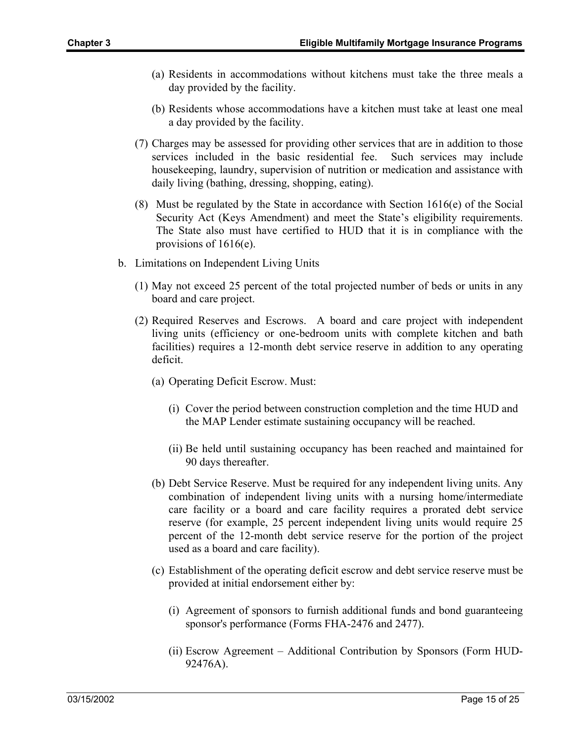- (a) Residents in accommodations without kitchens must take the three meals a day provided by the facility.
- (b) Residents whose accommodations have a kitchen must take at least one meal a day provided by the facility.
- (7) Charges may be assessed for providing other services that are in addition to those services included in the basic residential fee. Such services may include housekeeping, laundry, supervision of nutrition or medication and assistance with daily living (bathing, dressing, shopping, eating).
- (8) Must be regulated by the State in accordance with Section  $1616(e)$  of the Social Security Act (Keys Amendment) and meet the State's eligibility requirements. The State also must have certified to HUD that it is in compliance with the provisions of 1616(e).
- b. Limitations on Independent Living Units
	- (1) May not exceed 25 percent of the total projected number of beds or units in any board and care project.
	- (2) Required Reserves and Escrows. A board and care project with independent living units (efficiency or one-bedroom units with complete kitchen and bath facilities) requires a 12-month debt service reserve in addition to any operating deficit.
		- (a) Operating Deficit Escrow. Must:
			- (i) Cover the period between construction completion and the time HUD and the MAP Lender estimate sustaining occupancy will be reached.
			- (ii) Be held until sustaining occupancy has been reached and maintained for 90 days thereafter.
		- (b) Debt Service Reserve. Must be required for any independent living units. Any combination of independent living units with a nursing home/intermediate care facility or a board and care facility requires a prorated debt service reserve (for example, 25 percent independent living units would require 25 percent of the 12-month debt service reserve for the portion of the project used as a board and care facility).
		- (c) Establishment of the operating deficit escrow and debt service reserve must be provided at initial endorsement either by:
			- (i) Agreement of sponsors to furnish additional funds and bond guaranteeing sponsor's performance (Forms FHA-2476 and 2477).
			- (ii) Escrow Agreement Additional Contribution by Sponsors (Form HUD-92476A).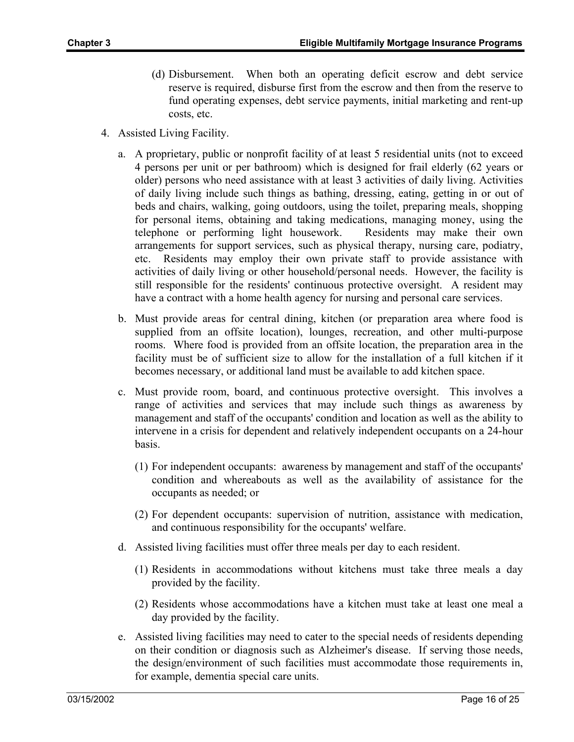- (d) Disbursement. When both an operating deficit escrow and debt service reserve is required, disburse first from the escrow and then from the reserve to fund operating expenses, debt service payments, initial marketing and rent-up costs, etc.
- 4. Assisted Living Facility.
	- a. A proprietary, public or nonprofit facility of at least 5 residential units (not to exceed 4 persons per unit or per bathroom) which is designed for frail elderly (62 years or older) persons who need assistance with at least 3 activities of daily living. Activities of daily living include such things as bathing, dressing, eating, getting in or out of beds and chairs, walking, going outdoors, using the toilet, preparing meals, shopping for personal items, obtaining and taking medications, managing money, using the telephone or performing light housework. Residents may make their own arrangements for support services, such as physical therapy, nursing care, podiatry, etc. Residents may employ their own private staff to provide assistance with activities of daily living or other household/personal needs. However, the facility is still responsible for the residents' continuous protective oversight. A resident may have a contract with a home health agency for nursing and personal care services.
	- b. Must provide areas for central dining, kitchen (or preparation area where food is supplied from an offsite location), lounges, recreation, and other multi-purpose rooms. Where food is provided from an offsite location, the preparation area in the facility must be of sufficient size to allow for the installation of a full kitchen if it becomes necessary, or additional land must be available to add kitchen space.
	- c. Must provide room, board, and continuous protective oversight. This involves a range of activities and services that may include such things as awareness by management and staff of the occupants' condition and location as well as the ability to intervene in a crisis for dependent and relatively independent occupants on a 24-hour basis.
		- (1) For independent occupants: awareness by management and staff of the occupants' condition and whereabouts as well as the availability of assistance for the occupants as needed; or
		- (2) For dependent occupants: supervision of nutrition, assistance with medication, and continuous responsibility for the occupants' welfare.
	- d. Assisted living facilities must offer three meals per day to each resident.
		- (1) Residents in accommodations without kitchens must take three meals a day provided by the facility.
		- (2) Residents whose accommodations have a kitchen must take at least one meal a day provided by the facility.
	- e. Assisted living facilities may need to cater to the special needs of residents depending on their condition or diagnosis such as Alzheimer's disease. If serving those needs, the design/environment of such facilities must accommodate those requirements in, for example, dementia special care units.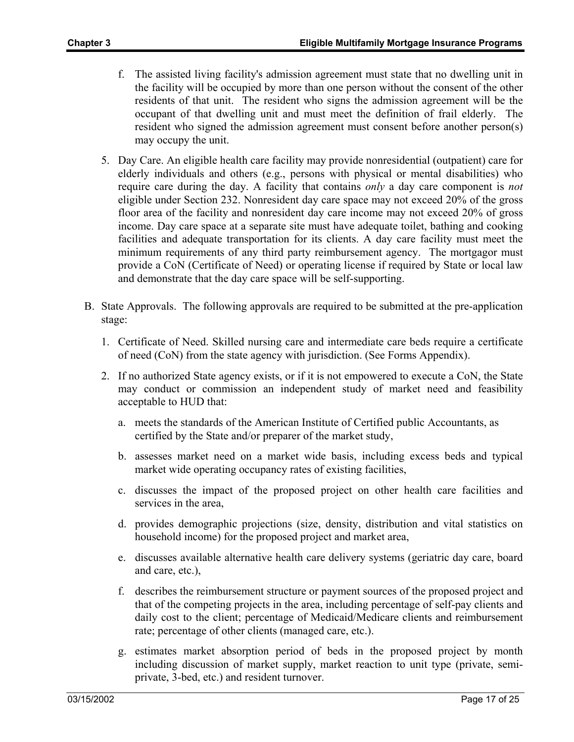- f. The assisted living facility's admission agreement must state that no dwelling unit in the facility will be occupied by more than one person without the consent of the other residents of that unit. The resident who signs the admission agreement will be the occupant of that dwelling unit and must meet the definition of frail elderly. The resident who signed the admission agreement must consent before another person(s) may occupy the unit.
- 5. Day Care. An eligible health care facility may provide nonresidential (outpatient) care for elderly individuals and others (e.g., persons with physical or mental disabilities) who require care during the day. A facility that contains *only* a day care component is *not* eligible under Section 232. Nonresident day care space may not exceed 20% of the gross floor area of the facility and nonresident day care income may not exceed 20% of gross income. Day care space at a separate site must have adequate toilet, bathing and cooking facilities and adequate transportation for its clients. A day care facility must meet the minimum requirements of any third party reimbursement agency. The mortgagor must provide a CoN (Certificate of Need) or operating license if required by State or local law and demonstrate that the day care space will be self-supporting.
- B. State Approvals. The following approvals are required to be submitted at the pre-application stage:
	- 1. Certificate of Need. Skilled nursing care and intermediate care beds require a certificate of need (CoN) from the state agency with jurisdiction. (See Forms Appendix).
	- 2. If no authorized State agency exists, or if it is not empowered to execute a CoN, the State may conduct or commission an independent study of market need and feasibility acceptable to HUD that:
		- a. meets the standards of the American Institute of Certified public Accountants, as certified by the State and/or preparer of the market study,
		- b. assesses market need on a market wide basis, including excess beds and typical market wide operating occupancy rates of existing facilities,
		- c. discusses the impact of the proposed project on other health care facilities and services in the area,
		- d. provides demographic projections (size, density, distribution and vital statistics on household income) for the proposed project and market area,
		- e. discusses available alternative health care delivery systems (geriatric day care, board and care, etc.),
		- f. describes the reimbursement structure or payment sources of the proposed project and that of the competing projects in the area, including percentage of self-pay clients and daily cost to the client; percentage of Medicaid/Medicare clients and reimbursement rate; percentage of other clients (managed care, etc.).
		- g. estimates market absorption period of beds in the proposed project by month including discussion of market supply, market reaction to unit type (private, semiprivate, 3-bed, etc.) and resident turnover.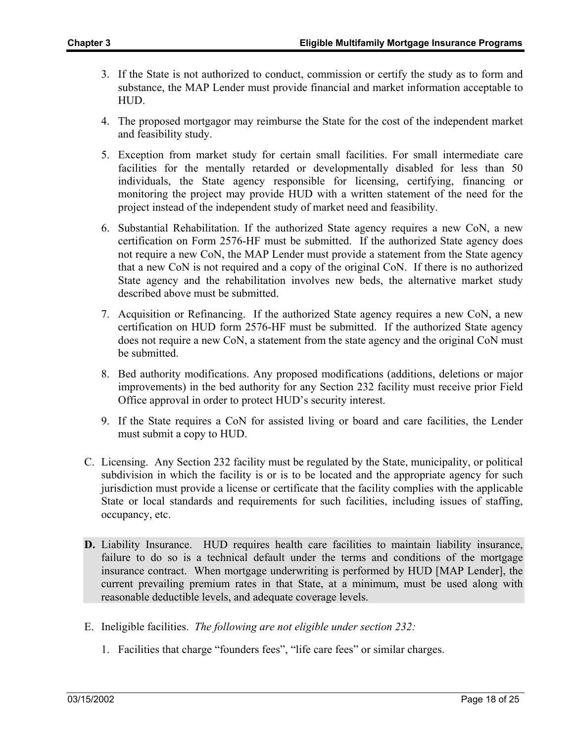- 3. If the State is not authorized to conduct, commission or certify the study as to form and substance, the MAP Lender must provide financial and market information acceptable to HUD.
- 4. The proposed mortgagor may reimburse the State for the cost of the independent market and feasibility study.
- 5. Exception from market study for certain small facilities. For small intermediate care facilities for the mentally retarded or developmentally disabled for less than 50 individuals, the State agency responsible for licensing, certifying, financing or monitoring the project may provide HUD with a written statement of the need for the project instead of the independent study of market need and feasibility.
- 6. Substantial Rehabilitation. If the authorized State agency requires a new CoN, a new certification on Form 2576-HF must be submitted. If the authorized State agency does not require a new CoN, the MAP Lender must provide a statement from the State agency that a new CoN is not required and a copy of the original CoN. If there is no authorized State agency and the rehabilitation involves new beds, the alternative market study described above must be submitted.
- 7. Acquisition or Refinancing. If the authorized State agency requires a new CoN, a new certification on HUD form 2576-HF must be submitted. If the authorized State agency does not require a new CoN, a statement from the state agency and the original CoN must be submitted.
- 8. Bed authority modifications. Any proposed modifications (additions, deletions or major improvements) in the bed authority for any Section 232 facility must receive prior Field Office approval in order to protect HUD's security interest.
- 9. If the State requires a CoN for assisted living or board and care facilities, the Lender must submit a copy to HUD.
- C. Licensing. Any Section 232 facility must be regulated by the State, municipality, or political subdivision in which the facility is or is to be located and the appropriate agency for such jurisdiction must provide a license or certificate that the facility complies with the applicable State or local standards and requirements for such facilities, including issues of staffing, occupancy, etc.
- **D.** Liability Insurance. HUD requires health care facilities to maintain liability insurance, failure to do so is a technical default under the terms and conditions of the mortgage insurance contract. When mortgage underwriting is performed by HUD [MAP Lender], the current prevailing premium rates in that State, at a minimum, must be used along with reasonable deductible levels, and adequate coverage levels.
- E. Ineligible facilities. *The following are not eligible under section 232:*
	- 1. Facilities that charge "founders fees", "life care fees" or similar charges.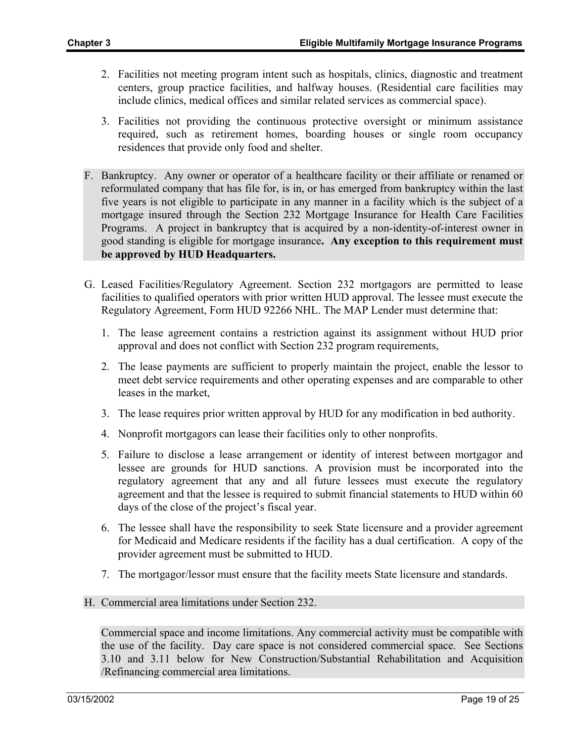- 2. Facilities not meeting program intent such as hospitals, clinics, diagnostic and treatment centers, group practice facilities, and halfway houses. (Residential care facilities may include clinics, medical offices and similar related services as commercial space).
- 3. Facilities not providing the continuous protective oversight or minimum assistance required, such as retirement homes, boarding houses or single room occupancy residences that provide only food and shelter.
- F. Bankruptcy. Any owner or operator of a healthcare facility or their affiliate or renamed or reformulated company that has file for, is in, or has emerged from bankruptcy within the last five years is not eligible to participate in any manner in a facility which is the subject of a mortgage insured through the Section 232 Mortgage Insurance for Health Care Facilities Programs. A project in bankruptcy that is acquired by a non-identity-of-interest owner in good standing is eligible for mortgage insurance**. Any exception to this requirement must be approved by HUD Headquarters.**
- G. Leased Facilities/Regulatory Agreement. Section 232 mortgagors are permitted to lease facilities to qualified operators with prior written HUD approval. The lessee must execute the Regulatory Agreement, Form HUD 92266 NHL. The MAP Lender must determine that:
	- 1. The lease agreement contains a restriction against its assignment without HUD prior approval and does not conflict with Section 232 program requirements,
	- 2. The lease payments are sufficient to properly maintain the project, enable the lessor to meet debt service requirements and other operating expenses and are comparable to other leases in the market,
	- 3. The lease requires prior written approval by HUD for any modification in bed authority.
	- 4. Nonprofit mortgagors can lease their facilities only to other nonprofits.
	- 5. Failure to disclose a lease arrangement or identity of interest between mortgagor and lessee are grounds for HUD sanctions. A provision must be incorporated into the regulatory agreement that any and all future lessees must execute the regulatory agreement and that the lessee is required to submit financial statements to HUD within 60 days of the close of the project's fiscal year.
	- 6. The lessee shall have the responsibility to seek State licensure and a provider agreement for Medicaid and Medicare residents if the facility has a dual certification. A copy of the provider agreement must be submitted to HUD.
	- 7. The mortgagor/lessor must ensure that the facility meets State licensure and standards.
- H. Commercial area limitations under Section 232.

Commercial space and income limitations. Any commercial activity must be compatible with the use of the facility. Day care space is not considered commercial space. See Sections 3.10 and 3.11 below for New Construction/Substantial Rehabilitation and Acquisition /Refinancing commercial area limitations.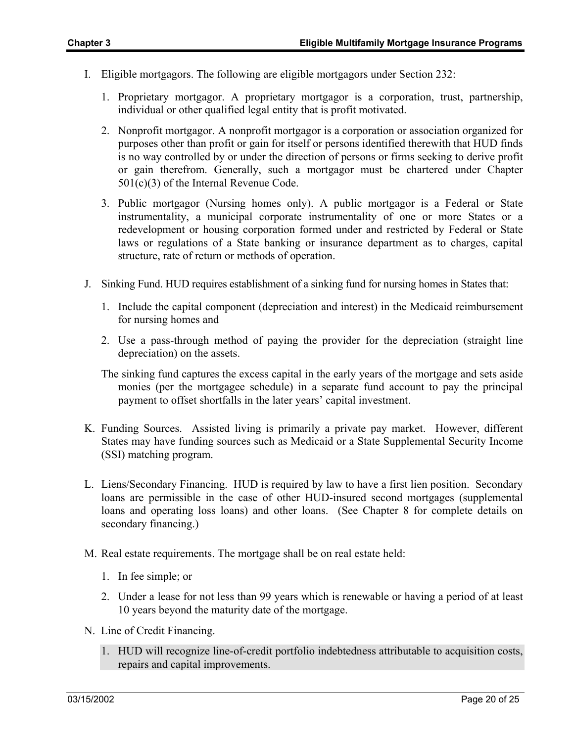- I. Eligible mortgagors. The following are eligible mortgagors under Section 232:
	- 1. Proprietary mortgagor. A proprietary mortgagor is a corporation, trust, partnership, individual or other qualified legal entity that is profit motivated.
	- 2. Nonprofit mortgagor. A nonprofit mortgagor is a corporation or association organized for purposes other than profit or gain for itself or persons identified therewith that HUD finds is no way controlled by or under the direction of persons or firms seeking to derive profit or gain therefrom. Generally, such a mortgagor must be chartered under Chapter 501(c)(3) of the Internal Revenue Code.
	- 3. Public mortgagor (Nursing homes only). A public mortgagor is a Federal or State instrumentality, a municipal corporate instrumentality of one or more States or a redevelopment or housing corporation formed under and restricted by Federal or State laws or regulations of a State banking or insurance department as to charges, capital structure, rate of return or methods of operation.
- J. Sinking Fund. HUD requires establishment of a sinking fund for nursing homes in States that:
	- 1. Include the capital component (depreciation and interest) in the Medicaid reimbursement for nursing homes and
	- 2. Use a pass-through method of paying the provider for the depreciation (straight line depreciation) on the assets.
	- The sinking fund captures the excess capital in the early years of the mortgage and sets aside monies (per the mortgagee schedule) in a separate fund account to pay the principal payment to offset shortfalls in the later years' capital investment.
- K. Funding Sources. Assisted living is primarily a private pay market. However, different States may have funding sources such as Medicaid or a State Supplemental Security Income (SSI) matching program.
- L. Liens/Secondary Financing. HUD is required by law to have a first lien position. Secondary loans are permissible in the case of other HUD-insured second mortgages (supplemental loans and operating loss loans) and other loans. (See Chapter 8 for complete details on secondary financing.)
- M. Real estate requirements. The mortgage shall be on real estate held:
	- 1. In fee simple; or
	- 2. Under a lease for not less than 99 years which is renewable or having a period of at least 10 years beyond the maturity date of the mortgage.
- N. Line of Credit Financing.
	- 1. HUD will recognize line-of-credit portfolio indebtedness attributable to acquisition costs, repairs and capital improvements.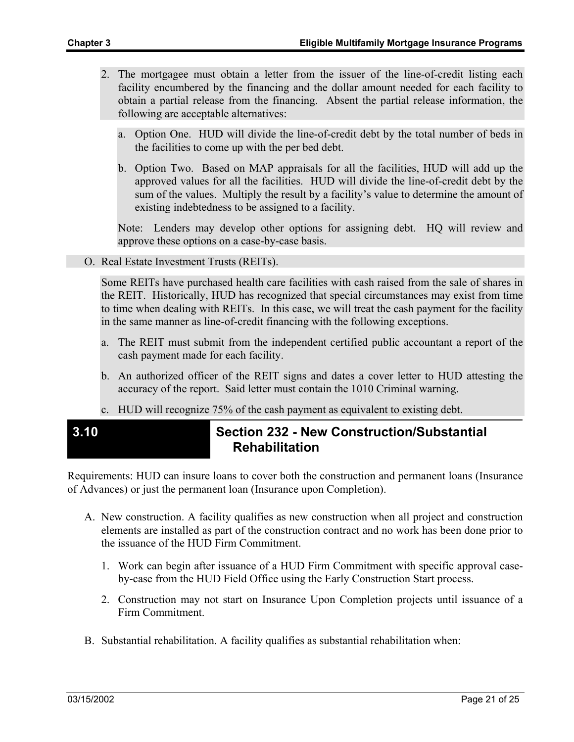- 2. The mortgagee must obtain a letter from the issuer of the line-of-credit listing each facility encumbered by the financing and the dollar amount needed for each facility to obtain a partial release from the financing. Absent the partial release information, the following are acceptable alternatives:
	- a. Option One. HUD will divide the line-of-credit debt by the total number of beds in the facilities to come up with the per bed debt.
	- b. Option Two. Based on MAP appraisals for all the facilities, HUD will add up the approved values for all the facilities. HUD will divide the line-of-credit debt by the sum of the values. Multiply the result by a facility's value to determine the amount of existing indebtedness to be assigned to a facility.

Note: Lenders may develop other options for assigning debt. HQ will review and approve these options on a case-by-case basis.

O. Real Estate Investment Trusts (REITs).

Some REITs have purchased health care facilities with cash raised from the sale of shares in the REIT. Historically, HUD has recognized that special circumstances may exist from time to time when dealing with REITs. In this case, we will treat the cash payment for the facility in the same manner as line-of-credit financing with the following exceptions.

- a. The REIT must submit from the independent certified public accountant a report of the cash payment made for each facility.
- b. An authorized officer of the REIT signs and dates a cover letter to HUD attesting the accuracy of the report. Said letter must contain the 1010 Criminal warning.
- c. HUD will recognize 75% of the cash payment as equivalent to existing debt.

### **3.10 Section 232 - New Construction/Substantial Rehabilitation**

Requirements: HUD can insure loans to cover both the construction and permanent loans (Insurance of Advances) or just the permanent loan (Insurance upon Completion).

- A. New construction. A facility qualifies as new construction when all project and construction elements are installed as part of the construction contract and no work has been done prior to the issuance of the HUD Firm Commitment.
	- 1. Work can begin after issuance of a HUD Firm Commitment with specific approval caseby-case from the HUD Field Office using the Early Construction Start process.
	- 2. Construction may not start on Insurance Upon Completion projects until issuance of a Firm Commitment.
- B. Substantial rehabilitation. A facility qualifies as substantial rehabilitation when: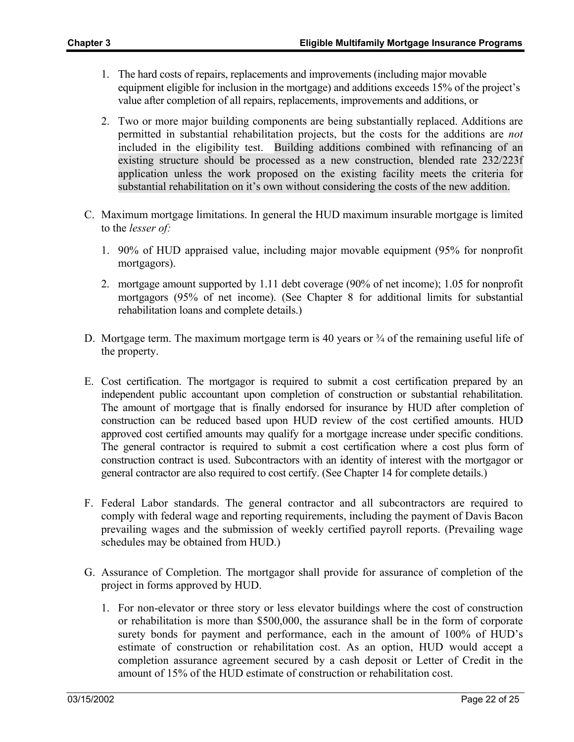- 1. The hard costs of repairs, replacements and improvements (including major movable equipment eligible for inclusion in the mortgage) and additions exceeds 15% of the project's value after completion of all repairs, replacements, improvements and additions, or
- 2. Two or more major building components are being substantially replaced. Additions are permitted in substantial rehabilitation projects, but the costs for the additions are *not* included in the eligibility test. Building additions combined with refinancing of an existing structure should be processed as a new construction, blended rate 232/223f application unless the work proposed on the existing facility meets the criteria for substantial rehabilitation on it's own without considering the costs of the new addition.
- C. Maximum mortgage limitations. In general the HUD maximum insurable mortgage is limited to the *lesser of:*
	- 1. 90% of HUD appraised value, including major movable equipment (95% for nonprofit mortgagors).
	- 2. mortgage amount supported by 1.11 debt coverage (90% of net income); 1.05 for nonprofit mortgagors (95% of net income). (See Chapter 8 for additional limits for substantial rehabilitation loans and complete details.)
- D. Mortgage term. The maximum mortgage term is 40 years or  $\frac{3}{4}$  of the remaining useful life of the property.
- E. Cost certification. The mortgagor is required to submit a cost certification prepared by an independent public accountant upon completion of construction or substantial rehabilitation. The amount of mortgage that is finally endorsed for insurance by HUD after completion of construction can be reduced based upon HUD review of the cost certified amounts. HUD approved cost certified amounts may qualify for a mortgage increase under specific conditions. The general contractor is required to submit a cost certification where a cost plus form of construction contract is used. Subcontractors with an identity of interest with the mortgagor or general contractor are also required to cost certify. (See Chapter 14 for complete details.)
- F. Federal Labor standards. The general contractor and all subcontractors are required to comply with federal wage and reporting requirements, including the payment of Davis Bacon prevailing wages and the submission of weekly certified payroll reports. (Prevailing wage schedules may be obtained from HUD.)
- G. Assurance of Completion. The mortgagor shall provide for assurance of completion of the project in forms approved by HUD.
	- 1. For non-elevator or three story or less elevator buildings where the cost of construction or rehabilitation is more than \$500,000, the assurance shall be in the form of corporate surety bonds for payment and performance, each in the amount of 100% of HUD's estimate of construction or rehabilitation cost. As an option, HUD would accept a completion assurance agreement secured by a cash deposit or Letter of Credit in the amount of 15% of the HUD estimate of construction or rehabilitation cost.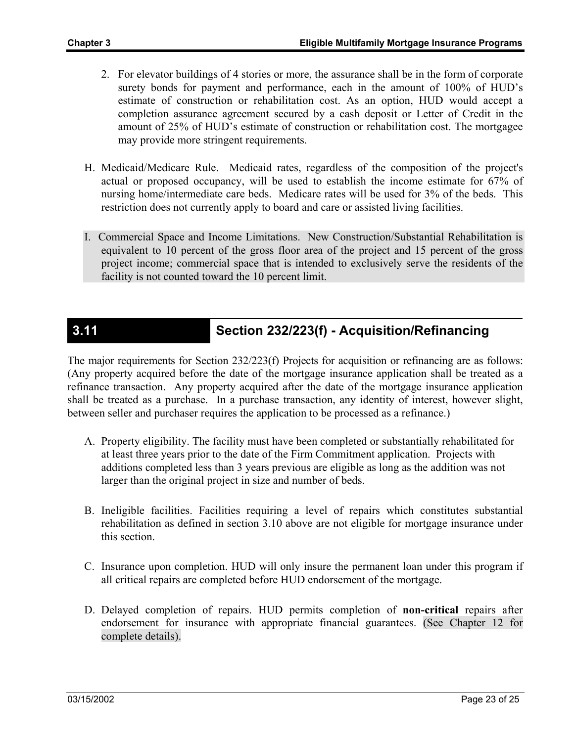- 2. For elevator buildings of 4 stories or more, the assurance shall be in the form of corporate surety bonds for payment and performance, each in the amount of 100% of HUD's estimate of construction or rehabilitation cost. As an option, HUD would accept a completion assurance agreement secured by a cash deposit or Letter of Credit in the amount of 25% of HUD's estimate of construction or rehabilitation cost. The mortgagee may provide more stringent requirements.
- H. Medicaid/Medicare Rule. Medicaid rates, regardless of the composition of the project's actual or proposed occupancy, will be used to establish the income estimate for 67% of nursing home/intermediate care beds. Medicare rates will be used for 3% of the beds. This restriction does not currently apply to board and care or assisted living facilities.
- I. Commercial Space and Income Limitations. New Construction/Substantial Rehabilitation is equivalent to 10 percent of the gross floor area of the project and 15 percent of the gross project income; commercial space that is intended to exclusively serve the residents of the facility is not counted toward the 10 percent limit.

## **3.11 Section 232/223(f) - Acquisition/Refinancing**

The major requirements for Section 232/223(f) Projects for acquisition or refinancing are as follows: (Any property acquired before the date of the mortgage insurance application shall be treated as a refinance transaction. Any property acquired after the date of the mortgage insurance application shall be treated as a purchase. In a purchase transaction, any identity of interest, however slight, between seller and purchaser requires the application to be processed as a refinance.)

- A. Property eligibility. The facility must have been completed or substantially rehabilitated for at least three years prior to the date of the Firm Commitment application. Projects with additions completed less than 3 years previous are eligible as long as the addition was not larger than the original project in size and number of beds.
- B. Ineligible facilities. Facilities requiring a level of repairs which constitutes substantial rehabilitation as defined in section 3.10 above are not eligible for mortgage insurance under this section.
- C. Insurance upon completion. HUD will only insure the permanent loan under this program if all critical repairs are completed before HUD endorsement of the mortgage.
- D. Delayed completion of repairs. HUD permits completion of **non-critical** repairs after endorsement for insurance with appropriate financial guarantees. (See Chapter 12 for complete details).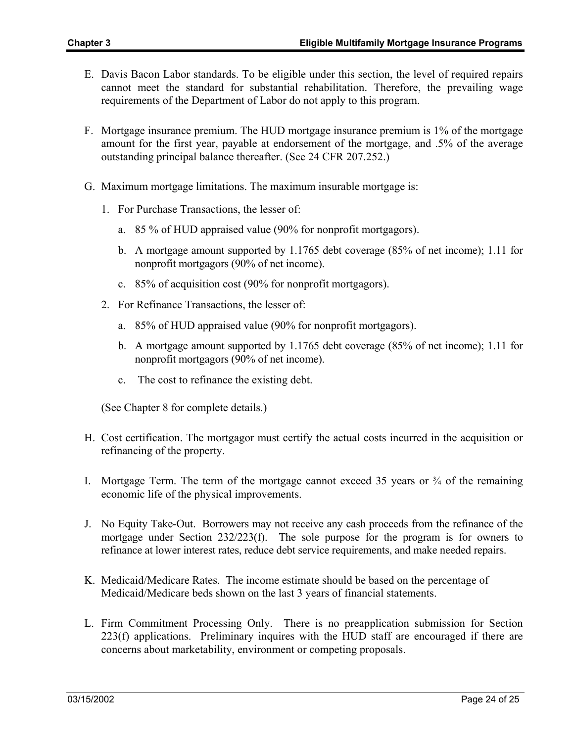- E. Davis Bacon Labor standards. To be eligible under this section, the level of required repairs cannot meet the standard for substantial rehabilitation. Therefore, the prevailing wage requirements of the Department of Labor do not apply to this program.
- F. Mortgage insurance premium. The HUD mortgage insurance premium is 1% of the mortgage amount for the first year, payable at endorsement of the mortgage, and .5% of the average outstanding principal balance thereafter. (See 24 CFR 207.252.)
- G. Maximum mortgage limitations. The maximum insurable mortgage is:
	- 1. For Purchase Transactions, the lesser of:
		- a. 85 % of HUD appraised value (90% for nonprofit mortgagors).
		- b. A mortgage amount supported by 1.1765 debt coverage (85% of net income); 1.11 for nonprofit mortgagors (90% of net income).
		- c. 85% of acquisition cost (90% for nonprofit mortgagors).
	- 2. For Refinance Transactions, the lesser of:
		- a. 85% of HUD appraised value (90% for nonprofit mortgagors).
		- b. A mortgage amount supported by 1.1765 debt coverage (85% of net income); 1.11 for nonprofit mortgagors (90% of net income).
		- c. The cost to refinance the existing debt.

(See Chapter 8 for complete details.)

- H. Cost certification. The mortgagor must certify the actual costs incurred in the acquisition or refinancing of the property.
- I. Mortgage Term. The term of the mortgage cannot exceed 35 years or  $\frac{3}{4}$  of the remaining economic life of the physical improvements.
- J. No Equity Take-Out. Borrowers may not receive any cash proceeds from the refinance of the mortgage under Section 232/223(f). The sole purpose for the program is for owners to refinance at lower interest rates, reduce debt service requirements, and make needed repairs.
- K. Medicaid/Medicare Rates. The income estimate should be based on the percentage of Medicaid/Medicare beds shown on the last 3 years of financial statements.
- L. Firm Commitment Processing Only. There is no preapplication submission for Section 223(f) applications. Preliminary inquires with the HUD staff are encouraged if there are concerns about marketability, environment or competing proposals.